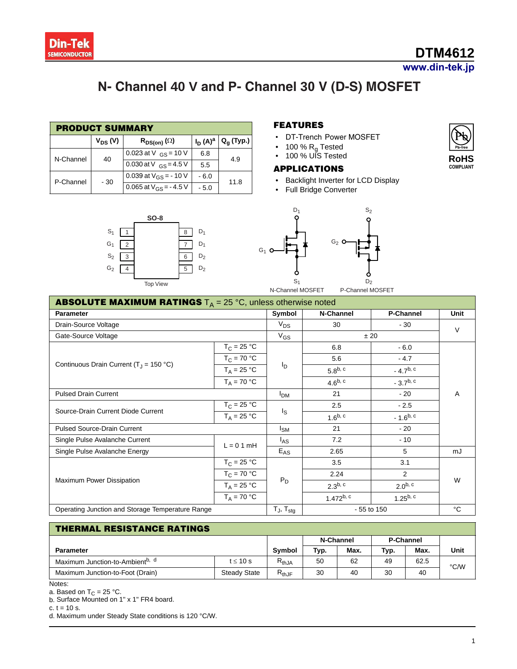

# **N- Channel 40 V and P- Channel 3 V (D-S) MOSFET**

| <b>PRODUCT SUMMARY</b> |              |                            |            |              |  |  |  |
|------------------------|--------------|----------------------------|------------|--------------|--|--|--|
|                        | $V_{DS} (V)$ | $R_{DS(on)}(\Omega)$       | $I_D(A)^a$ | $Q_q$ (Typ.) |  |  |  |
| N-Channel              | 40           | 0.023 at V $_{GS}$ = 10 V  | 6.8        | 4.9          |  |  |  |
|                        |              | 0.030 at V $_{GS}$ = 4.5 V | 5.5        |              |  |  |  |
| P-Channel              | - 30         | 0.039 at $V_{GS}$ = -10 V  | $-6.0$     | 11.8         |  |  |  |
|                        |              | 0.065 at $V_{GS}$ = -4.5 V | $-5.0$     |              |  |  |  |



### **FEATURES**

- DT-Trench Power MOSFET
- 100 %  $R_g$  Tested
- 100 % UIS Tested

#### **APPLICATIONS**

- Backlight Inverter for LCD Display
- Full Bridge Converter



| <b>ABSOLUTE MAXIMUM RATINGS</b> $T_A = 25 \degree C$ , unless otherwise noted |                     |                |                |                  |        |  |  |  |
|-------------------------------------------------------------------------------|---------------------|----------------|----------------|------------------|--------|--|--|--|
| <b>Parameter</b>                                                              |                     |                | N-Channel      | <b>P-Channel</b> | Unit   |  |  |  |
| Drain-Source Voltage                                                          |                     | $V_{DS}$       | 30             | $-30$            | $\vee$ |  |  |  |
| Gate-Source Voltage                                                           |                     | $V_{GS}$       | ± 20           |                  |        |  |  |  |
|                                                                               | $T_C = 25 °C$       |                | 6.8            | $-6.0$           |        |  |  |  |
|                                                                               | $T_C = 70 °C$       |                | 5.6            | $-4.7$           |        |  |  |  |
| Continuous Drain Current ( $T_J$ = 150 °C)                                    | $T_A = 25 °C$       | <sup>I</sup> D | $5.8^{b, c}$   | $-4.7^{b, c}$    |        |  |  |  |
|                                                                               | $T_A = 70 °C$       |                | $4.6^{b, c}$   | $-3.7^{b, c}$    |        |  |  |  |
| <b>Pulsed Drain Current</b>                                                   | <b>PDM</b>          | 21             | $-20$          | A                |        |  |  |  |
|                                                                               | $T_C = 25 °C$       |                | 2.5            | $-2.5$           |        |  |  |  |
| Source-Drain Current Diode Current                                            | $T_A = 25 °C$       | Is             | $1.6^{b, c}$   | $-1.6^{b, c}$    |        |  |  |  |
| Pulsed Source-Drain Current                                                   | $I_{SM}$            | 21             | - 20           |                  |        |  |  |  |
| Single Pulse Avalanche Current                                                |                     | $I_{AS}$       | 7.2            | $-10$            |        |  |  |  |
| Single Pulse Avalanche Energy                                                 | $L = 0.1$ mH        | $E_{AS}$       | 2.65           | 5                | mJ     |  |  |  |
|                                                                               | $T_{\rm C}$ = 25 °C |                | 3.5            | 3.1              |        |  |  |  |
|                                                                               | $T_C = 70 °C$       |                | 2.24           | 2                |        |  |  |  |
| Maximum Power Dissipation                                                     | $T_A = 25 °C$       | $P_D$          | $2.3^{b, c}$   | $2.0^{b, c}$     | W      |  |  |  |
|                                                                               | $T_A = 70 °C$       |                | $1.472^{b, c}$ | $1.25^{b, c}$    |        |  |  |  |
| Operating Junction and Storage Temperature Range                              | $T_J$ , $T_{stg}$   | - 55 to 150    |                | °C               |        |  |  |  |

#### **THERMAL RESISTANCE RATINGS**

|                                             |                     |            | N-Channel |      | <b>P-Channel</b> |      |      |
|---------------------------------------------|---------------------|------------|-----------|------|------------------|------|------|
| <b>Parameter</b>                            |                     |            | Typ.      | Max. | Typ.             | Max. | Unit |
| Maximum Junction-to-Ambient <sup>b, d</sup> | t ≤ 10 s            | $R_{thJA}$ | 50        | 62   | 49               | 62.5 | °C/W |
| Maximum Junction-to-Foot (Drain)            | <b>Steady State</b> | $R_{thJF}$ | 30        | 40   | 30               | 40   |      |

Notes:

a. Based on  $T_C = 25 °C$ .

b. Surface Mounted on 1" x 1" FR4 board.

c.  $t = 10$  s.

d. Maximum under Steady State conditions is 120 °C/W.

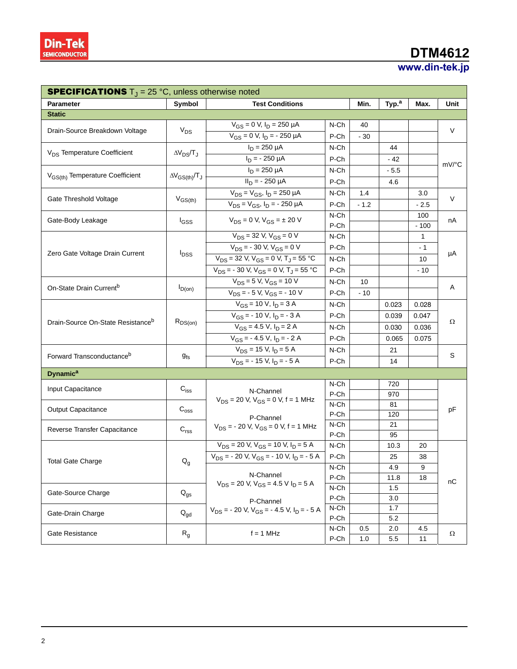# **DTM4612**

### **www.din-tek.jp**

| <b>SPECIFICATIONS</b> $T_{\text{J}} = 25 \text{ °C}$ , unless otherwise noted |                             |                                                                                   |                 |        |                   |         |       |  |
|-------------------------------------------------------------------------------|-----------------------------|-----------------------------------------------------------------------------------|-----------------|--------|-------------------|---------|-------|--|
| <b>Parameter</b>                                                              | Symbol                      | <b>Test Conditions</b>                                                            |                 |        | Typ. <sup>a</sup> | Max.    | Unit  |  |
| <b>Static</b>                                                                 |                             |                                                                                   |                 |        |                   |         |       |  |
| Drain-Source Breakdown Voltage                                                | $V_{DS}$                    | $V_{GS} = 0$ V, $I_D = 250$ µA                                                    | N-Ch            | 40     |                   |         | V     |  |
|                                                                               |                             | $V_{GS} = 0$ V, $I_D = -250$ $\mu A$                                              | P-Ch            | $-30$  |                   |         |       |  |
|                                                                               |                             | $I_D = 250 \mu A$                                                                 | N-Ch            |        | 44                |         |       |  |
| V <sub>DS</sub> Temperature Coefficient                                       | $\Delta V_{DS}/T_J$         | $I_D = -250 \mu A$                                                                | P-Ch            |        | - 42              |         |       |  |
|                                                                               |                             | $I_D = 250 \mu A$                                                                 | N-Ch            |        | $-5.5$            |         | mV/°C |  |
| V <sub>GS(th)</sub> Temperature Coefficient                                   | $\Delta V_{GS(th)}/T_J$     | $II_D = -250 \mu A$                                                               | P-Ch            |        | 4.6               |         |       |  |
|                                                                               |                             | $V_{DS} = V_{GS}$ , $I_D = 250 \mu A$                                             | N-Ch            | 1.4    |                   | 3.0     |       |  |
| Gate Threshold Voltage                                                        | $V_{GS(th)}$                | $V_{DS} = V_{GS}$ , $I_D = -250 \mu A$                                            | P-Ch            | $-1.2$ |                   | - 2.5   | V     |  |
|                                                                               |                             | $V_{DS} = 0$ V, $V_{GS} = \pm 20$ V                                               | N-Ch            |        |                   | 100     |       |  |
| Gate-Body Leakage                                                             | I <sub>GSS</sub>            |                                                                                   | P-Ch            |        |                   | $-100$  | nA    |  |
|                                                                               |                             | $V_{DS}$ = 32 V, $V_{GS}$ = 0 V                                                   | N-Ch            |        |                   | 1       |       |  |
|                                                                               |                             | $V_{DS}$ = - 30 V, V <sub>GS</sub> = 0 V                                          | P-Ch            |        |                   | $-1$    | μA    |  |
| Zero Gate Voltage Drain Current                                               | <b>I</b> <sub>DSS</sub>     | $V_{DS}$ = 32 V, $V_{GS}$ = 0 V, T <sub>J</sub> = 55 °C                           | N-Ch            |        |                   | 10      |       |  |
|                                                                               |                             | $V_{DS}$ = - 30 V, V <sub>GS</sub> = 0 V, T <sub>J</sub> = 55 °C                  | P-Ch            |        |                   | $-10$   |       |  |
|                                                                               | $I_{D(0n)}$                 | $V_{DS}$ = 5 V, $V_{GS}$ = 10 V                                                   | N-Ch            | 10     |                   |         | Α     |  |
| On-State Drain Current <sup>b</sup>                                           |                             | $V_{DS}$ = - 5 V, V <sub>GS</sub> = - 10 V                                        | P-Ch            | $-10$  |                   |         |       |  |
| Drain-Source On-State Resistance <sup>b</sup>                                 | $R_{DS(on)}$                | $V_{GS}$ = 10 V, $I_D$ = 3 A                                                      | N-Ch            |        | 0.023             | 0.028   | Ω     |  |
|                                                                               |                             | $V_{GS}$ = - 10 $\overline{V}$ , $I_D$ = - 3 A                                    | P-Ch            |        | 0.039             | 0.047   |       |  |
|                                                                               |                             | $V_{GS}$ = 4.5 V, $I_D$ = 2 A                                                     | N-Ch            |        | 0.030             | 0.036   |       |  |
|                                                                               |                             | $V_{GS}$ = - 4.5 V, $I_D$ = - 2 A                                                 | P-Ch            |        | 0.065             | 0.075   |       |  |
|                                                                               | $g_{fs}$                    | $V_{DS}$ = 15 V, $I_D$ = 5 A                                                      | N-Ch            |        | 21                |         |       |  |
| Forward Transconductance <sup>b</sup>                                         |                             | $V_{DS}$ = - 15 V, $I_D$ = - 5 A                                                  | P-Ch            |        | 14                |         | S     |  |
| <b>Dynamic<sup>a</sup></b>                                                    |                             |                                                                                   |                 |        |                   |         |       |  |
| Input Capacitance                                                             | $\mathsf{C}_{\mathsf{iss}}$ |                                                                                   | N-Ch            |        | 720               |         |       |  |
|                                                                               |                             | N-Channel<br>$V_{DS}$ = 20 V, $V_{GS}$ = 0 V, f = 1 MHz                           | P-Ch            |        | 970               |         |       |  |
| Output Capacitance                                                            | $\mathrm{C_{oss}}$          |                                                                                   | N-Ch            |        | 81                |         | pF    |  |
|                                                                               |                             | P-Channel                                                                         | P-Ch            |        | 120               |         |       |  |
| Reverse Transfer Capacitance                                                  | $\mathbf{C}_{\text{rss}}$   | $V_{DS}$ = - 20 V, $V_{GS}$ = 0 V, f = 1 MHz                                      | N-Ch            |        | 21                |         |       |  |
|                                                                               |                             | $V_{DS}$ = 20 V, $V_{GS}$ = 10 V, $I_D$ = 5 A                                     | P-Ch            |        | 95                |         |       |  |
|                                                                               |                             |                                                                                   | N-Ch            |        | 10.3              | 20      |       |  |
| <b>Total Gate Charge</b>                                                      | $Q_g$                       | $V_{DS}$ = - 20 V, V <sub>GS</sub> = - 10 V, I <sub>D</sub> = - 5 A               | P-Ch            |        | 25                | 38      |       |  |
|                                                                               |                             | N-Channel                                                                         | $N$ -Ch<br>P-Ch |        | 4.9<br>11.8       | y<br>18 |       |  |
|                                                                               | $Q_{gs}$                    | $V_{DS}$ = 20 V, $V_{GS}$ = 4.5 V I <sub>D</sub> = 5 A                            | N-Ch            |        | 1.5               |         | nC    |  |
| Gate-Source Charge                                                            |                             |                                                                                   | P-Ch            |        | 3.0               |         |       |  |
|                                                                               | $\mathsf{Q}_{\mathsf{gd}}$  | P-Channel<br>$V_{DS}$ = - 20 V, V <sub>GS</sub> = - 4.5 V, I <sub>D</sub> = - 5 A | N-Ch            |        | 1.7               |         |       |  |
| Gate-Drain Charge                                                             |                             |                                                                                   | P-Ch            |        | 5.2               |         |       |  |
|                                                                               |                             |                                                                                   | N-Ch            | 0.5    | 2.0               | 4.5     |       |  |
| Gate Resistance                                                               | $R_{g}$                     | $f = 1$ MHz                                                                       | P-Ch            | 1.0    | 5.5               | 11      | Ω     |  |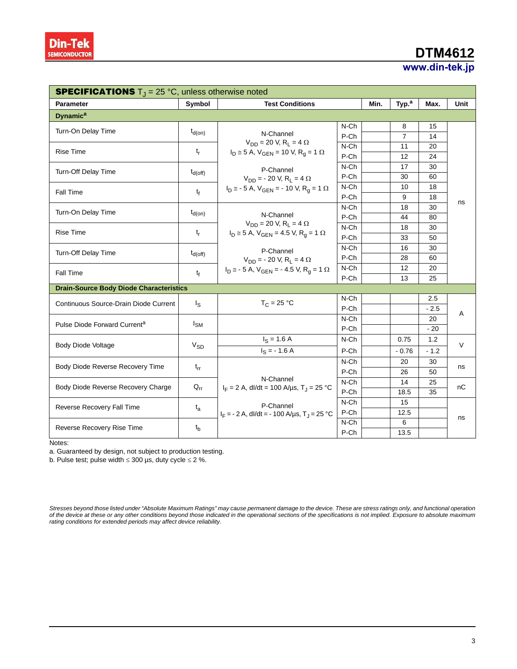# **DTM4612**

# **www.din-tek.jp**

| <b>SPECIFICATIONS</b> $T_J = 25 \degree C$ , unless otherwise noted |                                  |                                                                |         |      |                   |        |      |  |
|---------------------------------------------------------------------|----------------------------------|----------------------------------------------------------------|---------|------|-------------------|--------|------|--|
| <b>Parameter</b>                                                    | <b>Test Conditions</b><br>Symbol |                                                                |         | Min. | Typ. <sup>a</sup> | Max.   | Unit |  |
| <b>Dynamic<sup>a</sup></b>                                          |                                  |                                                                |         |      |                   |        |      |  |
| Turn-On Delay Time                                                  | $t_{d(on)}$                      |                                                                | N-Ch    |      | 8                 | 15     |      |  |
|                                                                     |                                  | N-Channel<br>$V_{DD}$ = 20 V, R <sub>L</sub> = 4 $\Omega$      | P-Ch    |      | $\overline{7}$    | 14     |      |  |
| <b>Rise Time</b>                                                    | $t_{r}$                          | $I_D \cong 5$ A, $V_{GEN} = 10$ V, R <sub>q</sub> = 1 $\Omega$ | N-Ch    |      | 11                | 20     |      |  |
|                                                                     |                                  |                                                                | P-Ch    |      | 12                | 24     |      |  |
| Turn-Off Delay Time                                                 | $t_{d(off)}$                     | P-Channel                                                      | $N$ -Ch |      | 17                | 30     |      |  |
|                                                                     |                                  | $V_{DD}$ = - 20 V, R <sub>1</sub> = 4 $\Omega$                 | P-Ch    |      | 30                | 60     |      |  |
| Fall Time                                                           | t <sub>f</sub>                   | $I_D \approx -5$ A, $V_{GEN} = -10$ V, $R_q = 1$ $\Omega$      | N-Ch    |      | 10                | 18     |      |  |
|                                                                     |                                  |                                                                | P-Ch    |      | 9                 | 18     | ns   |  |
| Turn-On Delay Time                                                  | $t_{d(on)}$                      |                                                                | N-Ch    |      | 18                | 30     |      |  |
|                                                                     |                                  | N-Channel<br>$V_{DD} = 20 V, R_L = 4 \Omega$                   | P-Ch    |      | 44                | 80     |      |  |
| <b>Rise Time</b>                                                    | $t_{r}$                          | $I_D \cong 5$ A, $V_{GEN} = 4.5$ V, $R_q = 1$ $\Omega$         | N-Ch    |      | 18                | 30     |      |  |
|                                                                     |                                  |                                                                | P-Ch    |      | 33                | 50     |      |  |
| Turn-Off Delay Time                                                 | $t_{d(Off)}$                     | P-Channel                                                      | N-Ch    |      | 16                | 30     |      |  |
|                                                                     |                                  | $V_{DD}$ = - 20 V, R <sub>1</sub> = 4 $\Omega$                 | P-Ch    |      | 28                | 60     |      |  |
| Fall Time                                                           | $t_{\rm f}$                      | $I_D \approx -5$ A, $V_{GEN} = -4.5$ V, $R_q = 1$ $\Omega$     | N-Ch    |      | 12                | 20     |      |  |
|                                                                     |                                  |                                                                | P-Ch    |      | 13                | 25     |      |  |
| <b>Drain-Source Body Diode Characteristics</b>                      |                                  |                                                                |         |      |                   |        |      |  |
| Continuous Source-Drain Diode Current                               | $I_{\rm S}$                      | $T_C = 25 °C$                                                  | $N$ -Ch |      |                   | 2.5    | Α    |  |
|                                                                     |                                  |                                                                | P-Ch    |      |                   | $-2.5$ |      |  |
| Pulse Diode Forward Current <sup>a</sup>                            | $I_{SM}$                         |                                                                | N-Ch    |      |                   | 20     |      |  |
|                                                                     |                                  |                                                                | P-Ch    |      |                   | $-20$  |      |  |
|                                                                     | $V_{SD}$                         | $I_S = 1.6 A$                                                  | N-Ch    |      | 0.75              | 1.2    | V    |  |
| <b>Body Diode Voltage</b>                                           |                                  | $I_S = -1.6 A$                                                 | P-Ch    |      | $-0.76$           | $-1.2$ |      |  |
| Body Diode Reverse Recovery Time                                    | $t_{rr}$                         | N-Ch<br>P-Ch                                                   |         |      | 20                | 30     |      |  |
|                                                                     |                                  |                                                                |         |      | 26                | 50     | ns   |  |
| Body Diode Reverse Recovery Charge                                  | $Q_{rr}$                         | N-Channel                                                      | N-Ch    |      | 14                | 25     | nС   |  |
|                                                                     |                                  | $I_F = 2$ A, dl/dt = 100 A/µs, T <sub>J</sub> = 25 °C          | P-Ch    |      | 18.5              | 35     |      |  |
| Reverse Recovery Fall Time                                          | $t_{a}$                          | P-Channel                                                      | N-Ch    |      | 15                |        | ns   |  |
|                                                                     |                                  | $I_F = -2 A$ , dl/dt = -100 A/us, T <sub>J</sub> = 25 °C       | P-Ch    |      | 12.5              |        |      |  |
| Reverse Recovery Rise Time                                          |                                  |                                                                | N-Ch    |      | 6                 |        |      |  |
|                                                                     | $t_{b}$                          |                                                                | P-Ch    |      | 13.5              |        |      |  |

Notes:

a. Guaranteed by design, not subject to production testing.

b. Pulse test; pulse width  $\leq 300$  µs, duty cycle  $\leq 2$  %.

*Stresses beyond those listed under "Absolute Maximum Ratings" may cause permanent damage to the device. These are stress ratings only, and functional operation* of the device at these or any other conditions beyond those indicated in the operational sections of the specifications is not implied. Exposure to absolute maximum<br>rating conditions for extended periods may affect device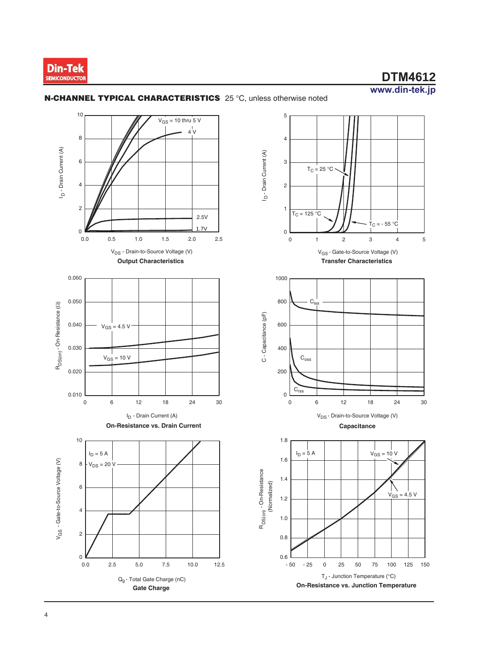



### **N-CHANNEL TYPICAL CHARACTERISTICS** 25 °C, unless otherwise noted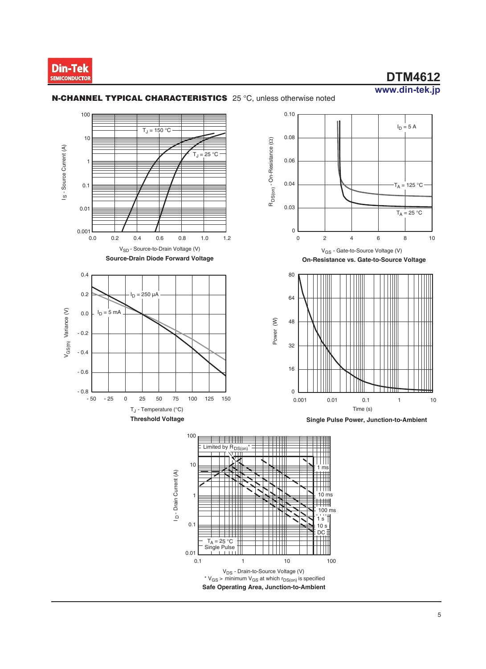

 $I_D = 5A$ 



1

0.01

 $T_A = 25 °C$ <br>Single Pulse

0.1

 $\bar{e}$ 

#### **N-CHANNEL TYPICAL CHARACTERISTICS** 25 °C, unless otherwise noted



**Single Pulse Power, Junction-to-Ambient**

Time (s)



**Safe Operating Area, Junction-to-Ambient** V<sub>DS</sub> - Drain-to-Source Voltage (V) \*  $V_{GS}$  > minimum  $V_{GS}$  at which  $r_{DS(on)}$  is specified 0.1 1 10 100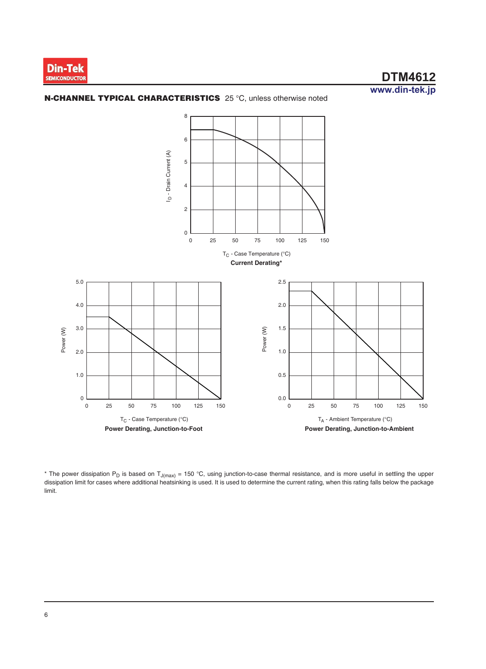

#### **N-CHANNEL TYPICAL CHARACTERISTICS** 25 °C, unless otherwise noted



\* The power dissipation P<sub>D</sub> is based on T<sub>J(max)</sub> = 150 °C, using junction-to-case thermal resistance, and is more useful in settling the upper dissipation limit for cases where additional heatsinking is used. It is used to determine the current rating, when this rating falls below the package limit.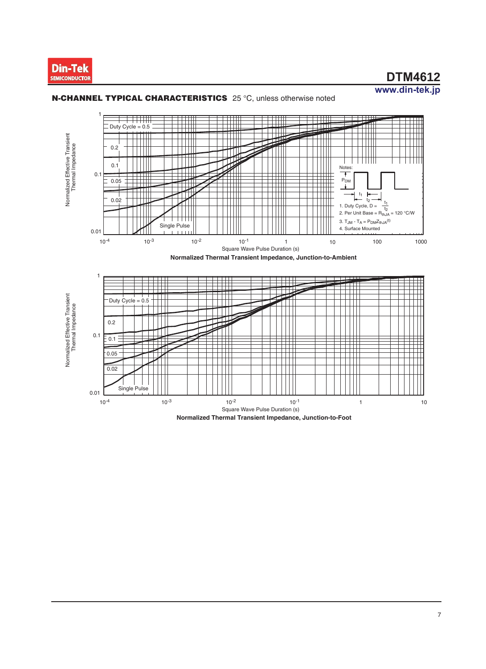



#### **N-CHANNEL TYPICAL CHARACTERISTICS** 25 °C, unless otherwise noted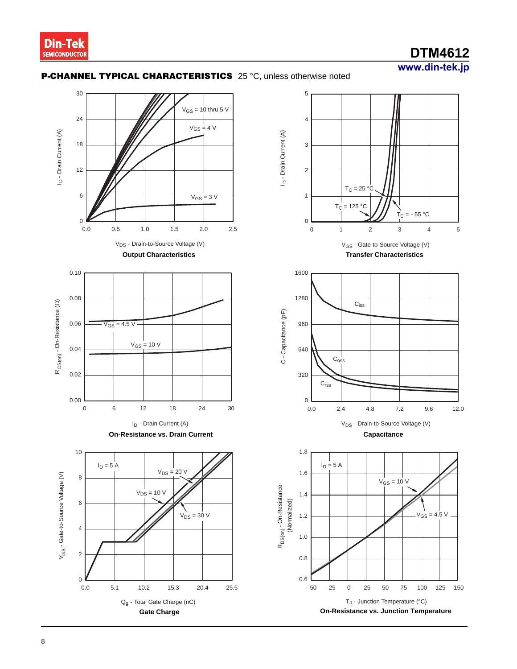## **www.din-tek.jp DTM4612**

### **P-CHANNEL TYPICAL CHARACTERISTICS** 25 °C, unless otherwise noted

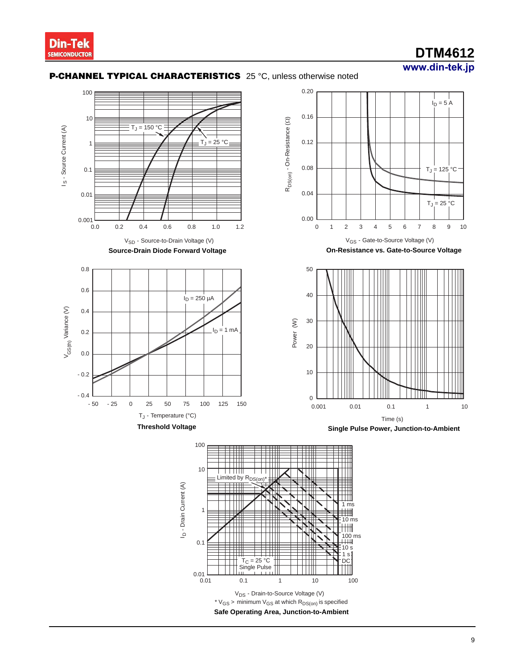

## **www.din-tek.jp DTM4612**

#### **P-CHANNEL TYPICAL CHARACTERISTICS** 25 °C, unless otherwise noted







**On-Resistance vs. Gate-to-Source Voltage**



**Single Pulse Power, Junction-to-Ambient**

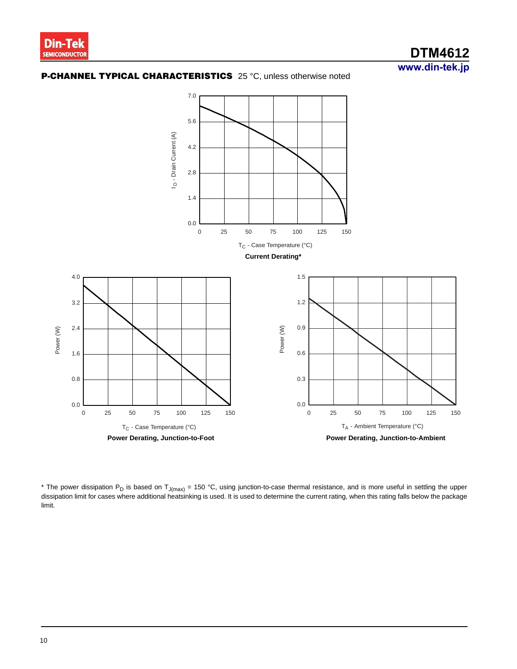**www.din-tek.jp DTM4612**

### **P-CHANNEL TYPICAL CHARACTERISTICS** 25 °C, unless otherwise noted



\* The power dissipation P<sub>D</sub> is based on T<sub>J(max)</sub> = 150 °C, using junction-to-case thermal resistance, and is more useful in settling the upper dissipation limit for cases where additional heatsinking is used. It is used to determine the current rating, when this rating falls below the package limit.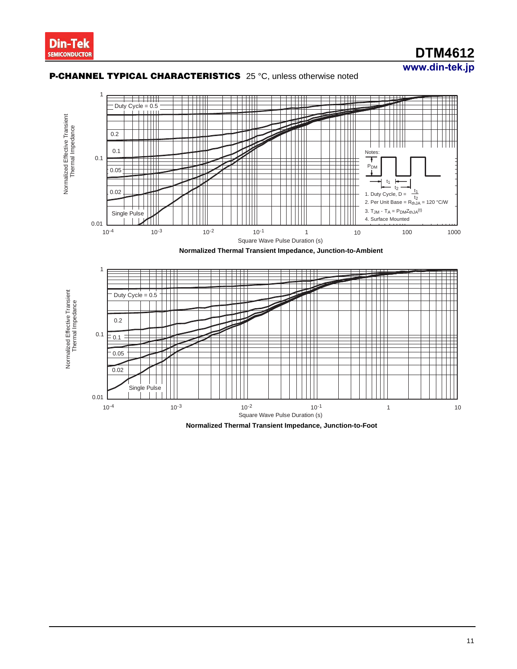# **DTM4612**

### **www.din-tek.jp**



#### **P-CHANNEL TYPICAL CHARACTERISTICS** 25 °C, unless otherwise noted

**Normalized Thermal Transient Impedance, Junction-to-Foot**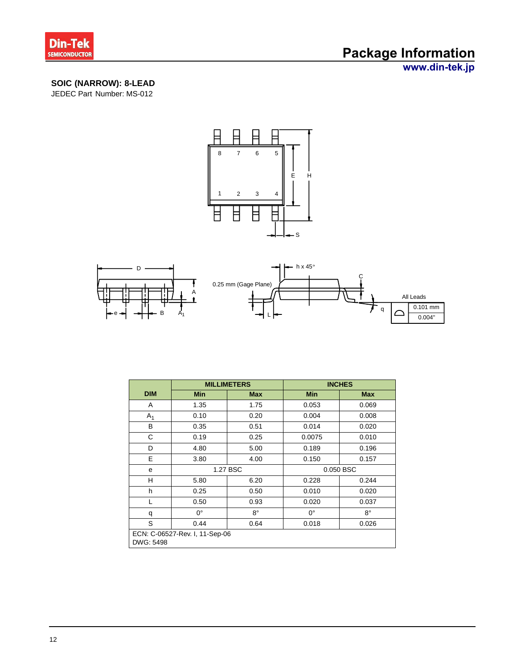

# **Package Information**

**www.din-tek.jp**

## **SOIC (NARROW): 8-LEAD**

JEDEC Part Number: MS-012





|                                             |             | <b>MILLIMETERS</b> | <b>INCHES</b> |            |  |  |
|---------------------------------------------|-------------|--------------------|---------------|------------|--|--|
| <b>DIM</b>                                  | <b>Min</b>  | <b>Max</b>         | <b>Min</b>    | <b>Max</b> |  |  |
| A                                           | 1.35        | 1.75               | 0.053         | 0.069      |  |  |
| A <sub>1</sub>                              | 0.10        | 0.20               | 0.004         | 0.008      |  |  |
| В                                           | 0.35        | 0.51               | 0.014         | 0.020      |  |  |
| С                                           | 0.19        | 0.25               | 0.0075        | 0.010      |  |  |
| D                                           | 4.80        | 5.00               | 0.189         | 0.196      |  |  |
| E                                           | 3.80        | 4.00               | 0.150         | 0.157      |  |  |
| e                                           |             | 1.27 BSC           | 0.050 BSC     |            |  |  |
| H                                           | 5.80        | 6.20               | 0.228         | 0.244      |  |  |
| h                                           | 0.25        | 0.50               | 0.010         | 0.020      |  |  |
| L                                           | 0.50        | 0.93               | 0.020         | 0.037      |  |  |
| q                                           | $0^{\circ}$ | $8^{\circ}$        | $0^{\circ}$   | 8°         |  |  |
| S                                           | 0.44        | 0.64               | 0.018         | 0.026      |  |  |
| ECN: C-06527-Rev. I, 11-Sep-06<br>DWG: 5498 |             |                    |               |            |  |  |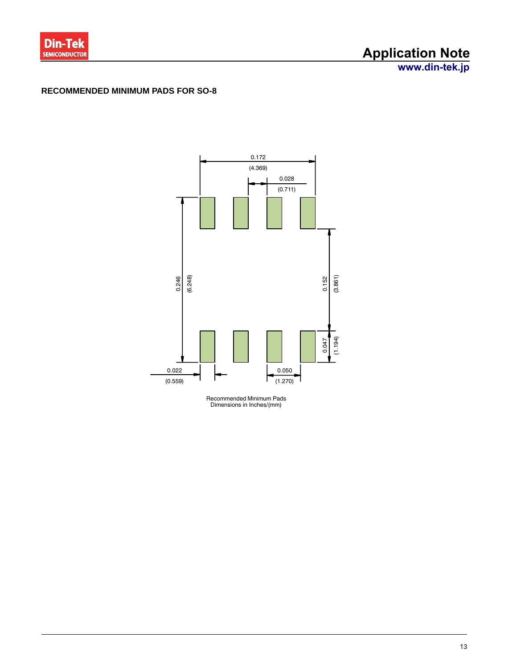

# **Application Note**

**www.din-tek.jp**

#### **RECOMMENDED MINIMUM PADS FOR SO-8**



Recommended Minimum Pads Dimensions in Inches/(mm)